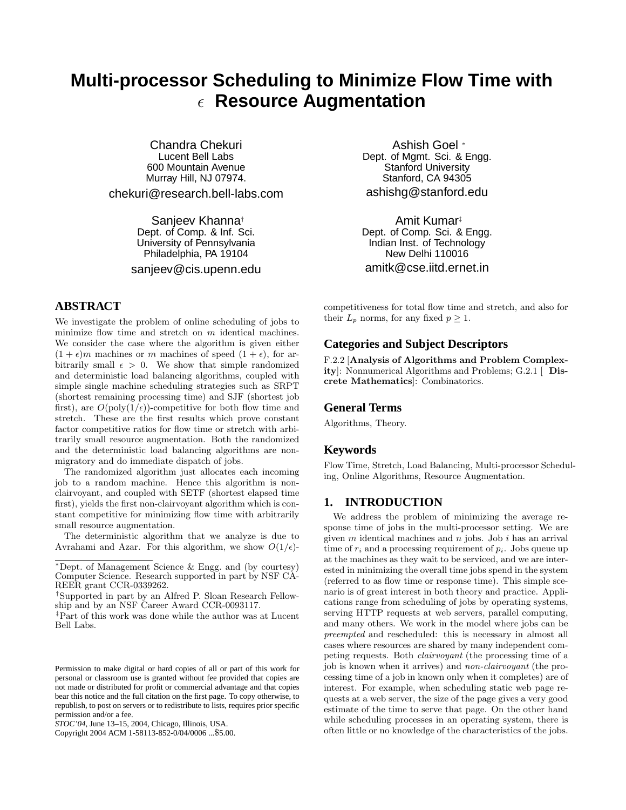# **Multi-processor Scheduling to Minimize Flow Time with Resource Augmentation**

Chandra Chekuri Lucent Bell Labs 600 Mountain Avenue Murray Hill, NJ 07974.

chekuri@research.bell-labs.com

Sanjeev Khanna† Dept. of Comp. & Inf. Sci. University of Pennsylvania Philadelphia, PA 19104

sanjeev@cis.upenn.edu

# **ABSTRACT**

We investigate the problem of online scheduling of jobs to minimize flow time and stretch on  $m$  identical machines. We consider the case where the algorithm is given either  $(1 + \epsilon)m$  machines or m machines of speed  $(1 + \epsilon)$ , for arbitrarily small  $\epsilon > 0$ . We show that simple randomized and deterministic load balancing algorithms, coupled with simple single machine scheduling strategies such as SRPT (shortest remaining processing time) and SJF (shortest job first), are  $O(\text{poly}(1/\epsilon))$ -competitive for both flow time and stretch. These are the first results which prove constant factor competitive ratios for flow time or stretch with arbitrarily small resource augmentation. Both the randomized and the deterministic load balancing algorithms are nonmigratory and do immediate dispatch of jobs.

The randomized algorithm just allocates each incoming job to a random machine. Hence this algorithm is nonclairvoyant, and coupled with SETF (shortest elapsed time first), yields the first non-clairvoyant algorithm which is constant competitive for minimizing flow time with arbitrarily small resource augmentation.

The deterministic algorithm that we analyze is due to Avrahami and Azar. For this algorithm, we show  $O(1/\epsilon)$ -

Copyright 2004 ACM 1-58113-852-0/04/0006 ...\$5.00.

Ashish Goel <sup>∗</sup> Dept. of Mgmt. Sci. & Engg. Stanford University Stanford, CA 94305 ashishg@stanford.edu

Amit Kumar‡ Dept. of Comp. Sci. & Engg. Indian Inst. of Technology New Delhi 110016 amitk@cse.iitd.ernet.in

competitiveness for total flow time and stretch, and also for their  $L_p$  norms, for any fixed  $p \geq 1$ .

## **Categories and Subject Descriptors**

F.2.2 [**Analysis of Algorithms and Problem Complexity**]: Nonnumerical Algorithms and Problems; G.2.1 [ **Discrete Mathematics**]: Combinatorics.

#### **General Terms**

Algorithms, Theory.

#### **Keywords**

Flow Time, Stretch, Load Balancing, Multi-processor Scheduling, Online Algorithms, Resource Augmentation.

#### **1. INTRODUCTION**

We address the problem of minimizing the average response time of jobs in the multi-processor setting. We are given  $m$  identical machines and  $n$  jobs. Job  $i$  has an arrival time of  $r_i$  and a processing requirement of  $p_i$ . Jobs queue up at the machines as they wait to be serviced, and we are interested in minimizing the overall time jobs spend in the system (referred to as flow time or response time). This simple scenario is of great interest in both theory and practice. Applications range from scheduling of jobs by operating systems, serving HTTP requests at web servers, parallel computing, and many others. We work in the model where jobs can be preempted and rescheduled: this is necessary in almost all cases where resources are shared by many independent competing requests. Both clairvoyant (the processing time of a job is known when it arrives) and non-clairvoyant (the processing time of a job in known only when it completes) are of interest. For example, when scheduling static web page requests at a web server, the size of the page gives a very good estimate of the time to serve that page. On the other hand while scheduling processes in an operating system, there is often little or no knowledge of the characteristics of the jobs.

<sup>∗</sup>Dept. of Management Science & Engg. and (by courtesy) Computer Science. Research supported in part by NSF CA-REER grant CCR-0339262.

<sup>†</sup>Supported in part by an Alfred P. Sloan Research Fellowship and by an NSF Career Award CCR-0093117.

<sup>‡</sup>Part of this work was done while the author was at Lucent Bell Labs.

Permission to make digital or hard copies of all or part of this work for personal or classroom use is granted without fee provided that copies are not made or distributed for profit or commercial advantage and that copies bear this notice and the full citation on the first page. To copy otherwise, to republish, to post on servers or to redistribute to lists, requires prior specific permission and/or a fee.

*STOC'04,* June 13–15, 2004, Chicago, Illinois, USA.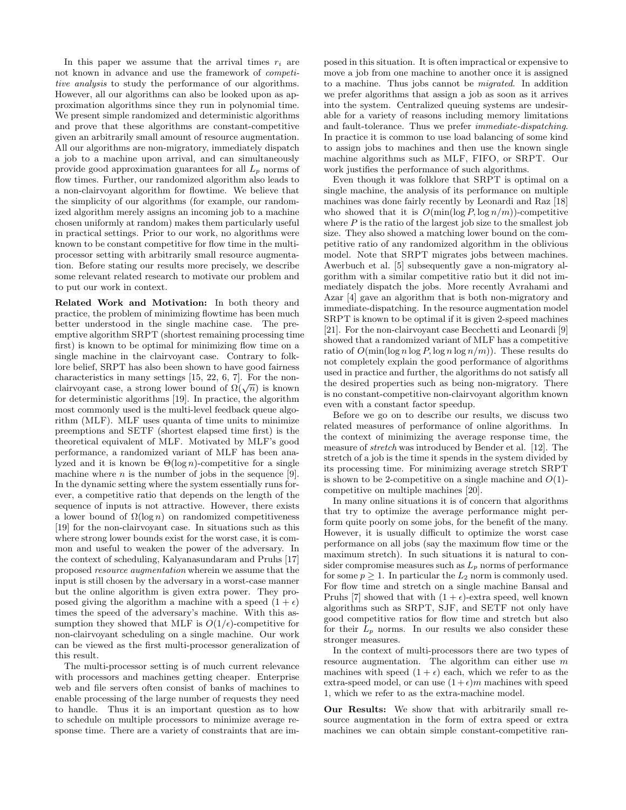In this paper we assume that the arrival times  $r_i$  are not known in advance and use the framework of competitive analysis to study the performance of our algorithms. However, all our algorithms can also be looked upon as approximation algorithms since they run in polynomial time. We present simple randomized and deterministic algorithms and prove that these algorithms are constant-competitive given an arbitrarily small amount of resource augmentation. All our algorithms are non-migratory, immediately dispatch a job to a machine upon arrival, and can simultaneously provide good approximation guarantees for all  $L_p$  norms of flow times. Further, our randomized algorithm also leads to a non-clairvoyant algorithm for flowtime. We believe that the simplicity of our algorithms (for example, our randomized algorithm merely assigns an incoming job to a machine chosen uniformly at random) makes them particularly useful in practical settings. Prior to our work, no algorithms were known to be constant competitive for flow time in the multiprocessor setting with arbitrarily small resource augmentation. Before stating our results more precisely, we describe some relevant related research to motivate our problem and to put our work in context.

**Related Work and Motivation:** In both theory and practice, the problem of minimizing flowtime has been much better understood in the single machine case. The preemptive algorithm SRPT (shortest remaining processing time first) is known to be optimal for minimizing flow time on a single machine in the clairvoyant case. Contrary to folklore belief, SRPT has also been shown to have good fairness characteristics in many settings [15, 22, 6, 7]. For the nonclairvoyant case, a strong lower bound of  $\Omega(\sqrt{n})$  is known for deterministic algorithms [19]. In practice, the algorithm most commonly used is the multi-level feedback queue algorithm (MLF). MLF uses quanta of time units to minimize preemptions and SETF (shortest elapsed time first) is the theoretical equivalent of MLF. Motivated by MLF's good performance, a randomized variant of MLF has been analyzed and it is known be  $\Theta(\log n)$ -competitive for a single machine where  $n$  is the number of jobs in the sequence [9]. In the dynamic setting where the system essentially runs forever, a competitive ratio that depends on the length of the sequence of inputs is not attractive. However, there exists a lower bound of  $\Omega(\log n)$  on randomized competitiveness [19] for the non-clairvoyant case. In situations such as this where strong lower bounds exist for the worst case, it is common and useful to weaken the power of the adversary. In the context of scheduling, Kalyanasundaram and Pruhs [17] proposed resource augmentation wherein we assume that the input is still chosen by the adversary in a worst-case manner but the online algorithm is given extra power. They proposed giving the algorithm a machine with a speed  $(1 + \epsilon)$ times the speed of the adversary's machine. With this assumption they showed that MLF is  $O(1/\epsilon)$ -competitive for non-clairvoyant scheduling on a single machine. Our work can be viewed as the first multi-processor generalization of this result.

The multi-processor setting is of much current relevance with processors and machines getting cheaper. Enterprise web and file servers often consist of banks of machines to enable processing of the large number of requests they need to handle. Thus it is an important question as to how to schedule on multiple processors to minimize average response time. There are a variety of constraints that are imposed in this situation. It is often impractical or expensive to move a job from one machine to another once it is assigned to a machine. Thus jobs cannot be migrated. In addition we prefer algorithms that assign a job as soon as it arrives into the system. Centralized queuing systems are undesirable for a variety of reasons including memory limitations and fault-tolerance. Thus we prefer immediate-dispatching. In practice it is common to use load balancing of some kind to assign jobs to machines and then use the known single machine algorithms such as MLF, FIFO, or SRPT. Our work justifies the performance of such algorithms.

Even though it was folklore that SRPT is optimal on a single machine, the analysis of its performance on multiple machines was done fairly recently by Leonardi and Raz [18] who showed that it is  $O(\min(\log P, \log n/m))$ -competitive where  $P$  is the ratio of the largest job size to the smallest job size. They also showed a matching lower bound on the competitive ratio of any randomized algorithm in the oblivious model. Note that SRPT migrates jobs between machines. Awerbuch et al. [5] subsequently gave a non-migratory algorithm with a similar competitive ratio but it did not immediately dispatch the jobs. More recently Avrahami and Azar [4] gave an algorithm that is both non-migratory and immediate-dispatching. In the resource augmentation model SRPT is known to be optimal if it is given 2-speed machines [21]. For the non-clairvoyant case Becchetti and Leonardi [9] showed that a randomized variant of MLF has a competitive ratio of  $O(\min(\log n \log P, \log n \log n/m))$ . These results do not completely explain the good performance of algorithms used in practice and further, the algorithms do not satisfy all the desired properties such as being non-migratory. There is no constant-competitive non-clairvoyant algorithm known even with a constant factor speedup.

Before we go on to describe our results, we discuss two related measures of performance of online algorithms. In the context of minimizing the average response time, the measure of stretch was introduced by Bender et al. [12]. The stretch of a job is the time it spends in the system divided by its processing time. For minimizing average stretch SRPT is shown to be 2-competitive on a single machine and  $O(1)$ competitive on multiple machines [20].

In many online situations it is of concern that algorithms that try to optimize the average performance might perform quite poorly on some jobs, for the benefit of the many. However, it is usually difficult to optimize the worst case performance on all jobs (say the maximum flow time or the maximum stretch). In such situations it is natural to consider compromise measures such as  $L_p$  norms of performance for some  $p \geq 1$ . In particular the  $L_2$  norm is commonly used. For flow time and stretch on a single machine Bansal and Pruhs [7] showed that with  $(1 + \epsilon)$ -extra speed, well known algorithms such as SRPT, SJF, and SETF not only have good competitive ratios for flow time and stretch but also for their  $L_p$  norms. In our results we also consider these stronger measures.

In the context of multi-processors there are two types of resource augmentation. The algorithm can either use m machines with speed  $(1 + \epsilon)$  each, which we refer to as the extra-speed model, or can use  $(1+\epsilon)m$  machines with speed 1, which we refer to as the extra-machine model.

**Our Results:** We show that with arbitrarily small resource augmentation in the form of extra speed or extra machines we can obtain simple constant-competitive ran-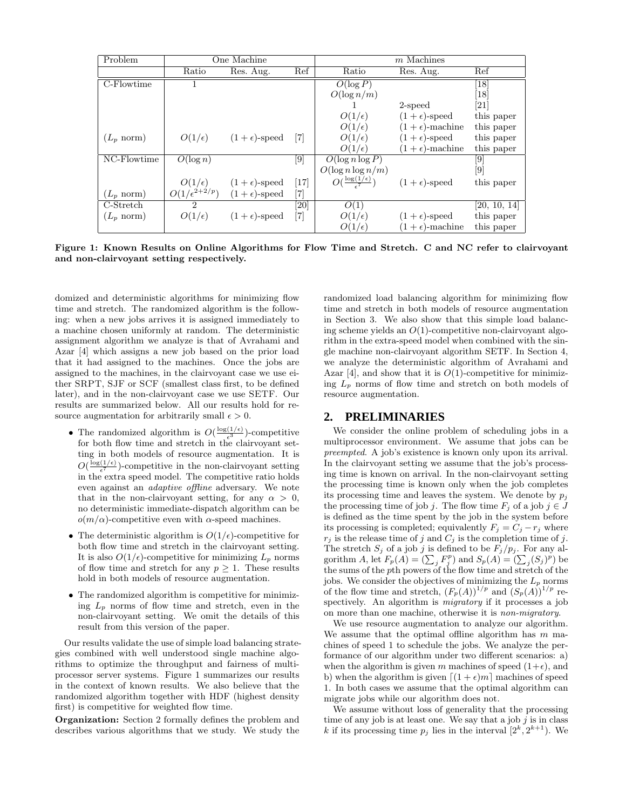| Problem              |                         | One Machine           |                    |                                          | $m$ Machines            |                   |
|----------------------|-------------------------|-----------------------|--------------------|------------------------------------------|-------------------------|-------------------|
|                      | Ratio                   | Res. Aug.             | Ref                | Ratio                                    | Res. Aug.               | Ref               |
| C-Flowtime           |                         |                       |                    | $O(\log P)$                              |                         | $\left[18\right]$ |
|                      |                         |                       |                    | $O(\log n/m)$                            |                         | [18]              |
|                      |                         |                       |                    |                                          | 2-speed                 | 21                |
|                      |                         |                       |                    | $O(1/\epsilon)$                          | $(1+\epsilon)$ -speed   | this paper        |
|                      |                         |                       |                    | $O(1/\epsilon)$                          | $(1+\epsilon)$ -machine | this paper        |
| $(L_p \text{ norm})$ | $O(1/\epsilon)$         | $(1+\epsilon)$ -speed | $\lceil 7 \rceil$  | $O(1/\epsilon)$                          | $(1+\epsilon)$ -speed   | this paper        |
|                      |                         |                       |                    | $O(1/\epsilon)$                          | $(1+\epsilon)$ -machine | this paper        |
| NC-Flowtime          | $\overline{O}(\log n)$  |                       | $\left[ 9 \right]$ | $O(\log n \log P)$                       |                         | [9]               |
|                      |                         |                       |                    | $O(\log n \log n/m)$                     |                         | [9]               |
|                      | $O(1/\epsilon)$         | $(1+\epsilon)$ -speed | $[17]$             | $O(\frac{\log(1/\epsilon)}{\epsilon^7})$ | $(1+\epsilon)$ -speed   | this paper        |
| $(L_p \text{ norm})$ | $O(1/\epsilon^{2+2/p})$ | $(1+\epsilon)$ -speed | [7]                |                                          |                         |                   |
| C-Stretch            | 2                       |                       | [20]               | $\overline{O}(1)$                        |                         | [20, 10, 14]      |
| $(L_p \text{ norm})$ | $O(1/\epsilon)$         | $(1+\epsilon)$ -speed | $[7]$              | $O(1/\epsilon)$                          | $(1+\epsilon)$ -speed   | this paper        |
|                      |                         |                       |                    | $O(1/\epsilon)$                          | $(1+\epsilon)$ -machine | this paper        |

**Figure 1: Known Results on Online Algorithms for Flow Time and Stretch. C and NC refer to clairvoyant and non-clairvoyant setting respectively.**

domized and deterministic algorithms for minimizing flow time and stretch. The randomized algorithm is the following: when a new jobs arrives it is assigned immediately to a machine chosen uniformly at random. The deterministic assignment algorithm we analyze is that of Avrahami and Azar [4] which assigns a new job based on the prior load that it had assigned to the machines. Once the jobs are assigned to the machines, in the clairvoyant case we use either SRPT, SJF or SCF (smallest class first, to be defined later), and in the non-clairvoyant case we use SETF. Our results are summarized below. All our results hold for resource augmentation for arbitrarily small  $\epsilon > 0$ .

- The randomized algorithm is  $O(\frac{\log(1/\epsilon)}{\epsilon^3})$ -competitive for both flow time and stretch in the clairvoyant setting in both models of resource augmentation. It is  $O(\frac{\log(1/\epsilon)}{\epsilon^7})$ -competitive in the non-clairvoyant setting in the extra speed model. The competitive ratio holds even against an adaptive offline adversary. We note that in the non-clairvoyant setting, for any  $\alpha > 0$ , no deterministic immediate-dispatch algorithm can be  $o(m/\alpha)$ -competitive even with  $\alpha$ -speed machines.
- The deterministic algorithm is  $O(1/\epsilon)$ -competitive for both flow time and stretch in the clairvoyant setting. It is also  $O(1/\epsilon)$ -competitive for minimizing  $L_p$  norms of flow time and stretch for any  $p \geq 1$ . These results hold in both models of resource augmentation.
- The randomized algorithm is competitive for minimizing  $L_p$  norms of flow time and stretch, even in the non-clairvoyant setting. We omit the details of this result from this version of the paper.

Our results validate the use of simple load balancing strategies combined with well understood single machine algorithms to optimize the throughput and fairness of multiprocessor server systems. Figure 1 summarizes our results in the context of known results. We also believe that the randomized algorithm together with HDF (highest density first) is competitive for weighted flow time.

**Organization:** Section 2 formally defines the problem and describes various algorithms that we study. We study the randomized load balancing algorithm for minimizing flow time and stretch in both models of resource augmentation in Section 3. We also show that this simple load balancing scheme yields an  $O(1)$ -competitive non-clairvoyant algorithm in the extra-speed model when combined with the single machine non-clairvoyant algorithm SETF. In Section 4, we analyze the deterministic algorithm of Avrahami and Azar [4], and show that it is  $O(1)$ -competitive for minimizing  $L_p$  norms of flow time and stretch on both models of resource augmentation.

## **2. PRELIMINARIES**

We consider the online problem of scheduling jobs in a multiprocessor environment. We assume that jobs can be preempted. A job's existence is known only upon its arrival. In the clairvoyant setting we assume that the job's processing time is known on arrival. In the non-clairvoyant setting the processing time is known only when the job completes its processing time and leaves the system. We denote by  $p_j$ the processing time of job j. The flow time  $F_j$  of a job  $j \in J$ is defined as the time spent by the job in the system before its processing is completed; equivalently  $F_j = C_j - r_j$  where  $r_j$  is the release time of j and  $C_j$  is the completion time of j. The stretch  $S_j$  of a job j is defined to be  $F_j/p_j$ . For any algorithm A, let  $F_p(A) = (\sum_j F_j^p)$  and  $S_p(A) = (\sum_j (S_j)^p)$  be the sums of the pth powers of the flow time and stretch of the jobs. We consider the objectives of minimizing the  $L_p$  norms of the flow time and stretch,  $(F_p(A))^{1/p}$  and  $(S_p(A))^{1/p}$  respectively. An algorithm is migratory if it processes a job on more than one machine, otherwise it is non-migratory.

We use resource augmentation to analyze our algorithm. We assume that the optimal offline algorithm has  $m$  machines of speed 1 to schedule the jobs. We analyze the performance of our algorithm under two different scenarios: a) when the algorithm is given m machines of speed  $(1+\epsilon)$ , and b) when the algorithm is given  $[(1 + \epsilon)m]$  machines of speed 1. In both cases we assume that the optimal algorithm can migrate jobs while our algorithm does not.

We assume without loss of generality that the processing time of any job is at least one. We say that a job  $j$  is in class k if its processing time  $p_j$  lies in the interval  $[2^k, 2^{k+1})$ . We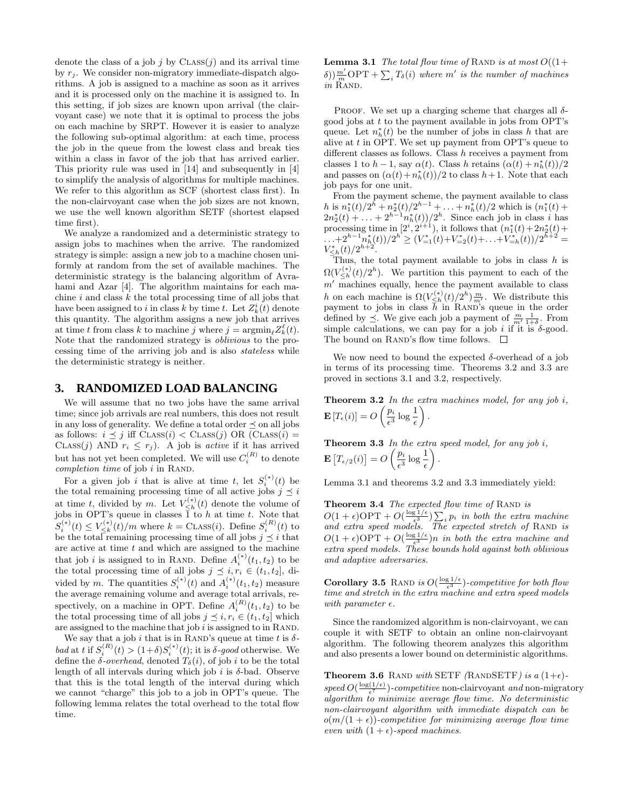denote the class of a job  $j$  by  $\text{CLASS}(j)$  and its arrival time by  $r_i$ . We consider non-migratory immediate-dispatch algorithms. A job is assigned to a machine as soon as it arrives and it is processed only on the machine it is assigned to. In this setting, if job sizes are known upon arrival (the clairvoyant case) we note that it is optimal to process the jobs on each machine by SRPT. However it is easier to analyze the following sub-optimal algorithm: at each time, process the job in the queue from the lowest class and break ties within a class in favor of the job that has arrived earlier. This priority rule was used in [14] and subsequently in [4] to simplify the analysis of algorithms for multiple machines. We refer to this algorithm as SCF (shortest class first). In the non-clairvoyant case when the job sizes are not known, we use the well known algorithm SETF (shortest elapsed time first).

We analyze a randomized and a deterministic strategy to assign jobs to machines when the arrive. The randomized strategy is simple: assign a new job to a machine chosen uniformly at random from the set of available machines. The deterministic strategy is the balancing algorithm of Avrahami and Azar [4]. The algorithm maintains for each machine  $i$  and class  $k$  the total processing time of all jobs that have been assigned to i in class k by time t. Let  $Z_k^i(t)$  denote this quantity. The algorithm assigns a new job that arrives at time t from class k to machine j where  $j = \operatorname{argmin}_{\ell} Z^{\ell}_k(t)$ . Note that the randomized strategy is oblivious to the processing time of the arriving job and is also stateless while the deterministic strategy is neither.

## **3. RANDOMIZED LOAD BALANCING**

We will assume that no two jobs have the same arrival time; since job arrivals are real numbers, this does not result in any loss of generality. We define a total order  $\preceq$  on all jobs as follows:  $i \preceq j$  iff  $\text{CLASS}(i) \lt \text{CLASS}(j) \text{ OR } (\text{Class}(i) =$ CLASS(j) AND  $r_i \leq r_j$ ). A job is *active* if it has arrived but has not yet been completed. We will use  $C_i^{(R)}$  to denote completion time of job  $i$  in RAND.

For a given job i that is alive at time t, let  $S_i^{(*)}(t)$  be the total remaining processing time of all active jobs  $j \leq i$ at time t, divided by m. Let  $V_{\leq h}^{(*)}(t)$  denote the volume of jobs in OPT's queue in classes  $\overline{1}$  to h at time t. Note that  $S_i^{(*)}(t) \le V_{\le k}^{(*)}(t)/m$  where  $k =$  CLASS(*i*). Define  $S_i^{(R)}(t)$  to be the total remaining processing time of all jobs  $j \preceq i$  that are active at time  $t$  and which are assigned to the machine that job *i* is assigned to in RAND. Define  $A_i^{(*)}(t_1, t_2)$  to be the total processing time of all jobs  $j \leq i, r_i \in (t_1, t_2],$  divided by m. The quantities  $S_i^{(*)}(t)$  and  $A_i^{(*)}(t_1, t_2)$  measure the average remaining volume and average total arrivals, respectively, on a machine in OPT. Define  $A_i^{(R)}(t_1, t_2)$  to be the total processing time of all jobs  $j \preceq i, r_i \in (t_1, t_2]$  which are assigned to the machine that job  $i$  is assigned to in RAND.

We say that a job i that is in RAND's queue at time t is  $\delta$ bad at t if  $S_i^{(R)}(t) > (1+\delta)S_i^{(*)}(t)$ ; it is  $\delta$ -good otherwise. We define the  $\delta$ -overhead, denoted  $T_{\delta}(i)$ , of job i to be the total length of all intervals during which job i is  $\delta$ -bad. Observe that this is the total length of the interval during which we cannot "charge" this job to a job in OPT's queue. The following lemma relates the total overhead to the total flow time.

**Lemma 3.1** The total flow time of RAND is at most  $O((1+\epsilon))$  $\delta$ ))  $\frac{m'}{m}$ OPT +  $\sum_i T_\delta(i)$  where m' is the number of machines in RAND.

PROOF. We set up a charging scheme that charges all  $\delta$ good jobs at  $t$  to the payment available in jobs from OPT's queue. Let  $n_h^*(t)$  be the number of jobs in class h that are alive at  $t$  in OPT. We set up payment from OPT's queue to different classes as follows. Class h receives a payment from classes 1 to  $h-1$ , say  $\alpha(t)$ . Class h retains  $(\alpha(t) + n_h^*(t))/2$ and passes on  $(\alpha(t) + n_h^*(t))/2$  to class  $h + 1$ . Note that each job pays for one unit.

From the payment scheme, the payment available to class h is  $n_1^*(t)/2^{\tilde{h}} + n_2^*(t)/2^{h-1} + \ldots + n_h^*(t)/2$  which is  $(n_1^*(t) + 2n_2^*(t) + \ldots + 2^{h-1}n_h^*(t))/2^h$ . Since each job in class *i* has processing time in  $[2^i, 2^{i+1})$ , it follows that  $(n_1^*(t) + 2n_2^*(t) + ... + 2^{h-1}n_h^*(t))/2^h \ge (V_{-1}^*(t) + V_{-2}^*(t) + ... + V_{-h}^*(t))/2^{h+2} =$ <br> $V_{\leq h}^*(t)/2^{h+2}$ .

Thus, the total payment available to jobs in class  $h$  is  $\Omega(V_{\leq h}^{(*)}(t)/2^h)$ . We partition this payment to each of the  $m'$  machines equally, hence the payment available to class h on each machine is  $\Omega(V_{\leq h}^{(*)}(t)/2^h)\frac{m}{m'}$ . We distribute this payment to jobs in class  $\bar{h}$  in RAND's queue in the order defined by  $\preceq$ . We give each job a payment of  $\frac{m}{m} \frac{1}{1+\delta}$ . From simple calculations, we can pay for a job *i* if it is  $\delta$ -good. simple calculations, we can pay for a job i if it is  $\delta$ -good. The bound on RAND's flow time follows.  $\quad \Box$ 

We now need to bound the expected  $\delta$ -overhead of a job in terms of its processing time. Theorems 3.2 and 3.3 are proved in sections 3.1 and 3.2, respectively.

**Theorem 3.2** In the extra machines model, for any job i,  $\mathbf{E}\left[T_{\epsilon}(i)\right] = O\left(\frac{p_i}{\epsilon^3} \log \frac{1}{\epsilon}\right)$ .

**Theorem 3.3** In the extra speed model, for any job  $i$ ,  $\mathbf{E}\left[T_{\epsilon/2}(i)\right] = O\left(\frac{p_i}{\epsilon^3}\log\frac{1}{\epsilon}\right)$  $\backslash$ .

Lemma 3.1 and theorems 3.2 and 3.3 immediately yield:

**Theorem 3.4** The expected flow time of RAND is  $O(1+\epsilon) \text{OPT} + O(\frac{\log 1/\epsilon}{\epsilon^3}) \sum_i p_i$  in both the extra machine and extra speed models. The expected stretch of RAND is  $O(1+\epsilon) \text{OPT} + O(\frac{\log 1/\epsilon}{\epsilon^3})n$  in both the extra machine and extra speed models. These bounds hold against both oblivious and adaptive adversaries.

**Corollary 3.5** RAND is  $O(\frac{\log 1/\epsilon}{\epsilon^3})$ -competitive for both flow time and stretch in the extra machine and extra speed models with parameter  $\epsilon$ .

Since the randomized algorithm is non-clairvoyant, we can couple it with SETF to obtain an online non-clairvoyant algorithm. The following theorem analyzes this algorithm and also presents a lower bound on deterministic algorithms.

**Theorem 3.6** RAND with SETF (RANDSETF) is a  $(1+\epsilon)$ speed  $O(\frac{\log(1/\epsilon)}{\epsilon^7})$ -competitive non-clairvoyant and non-migratory algorithm to minimize average flow time. No deterministic non-clairvoyant algorithm with immediate dispatch can be  $o(m/(1+\epsilon))$ -competitive for minimizing average flow time even with  $(1 + \epsilon)$ -speed machines.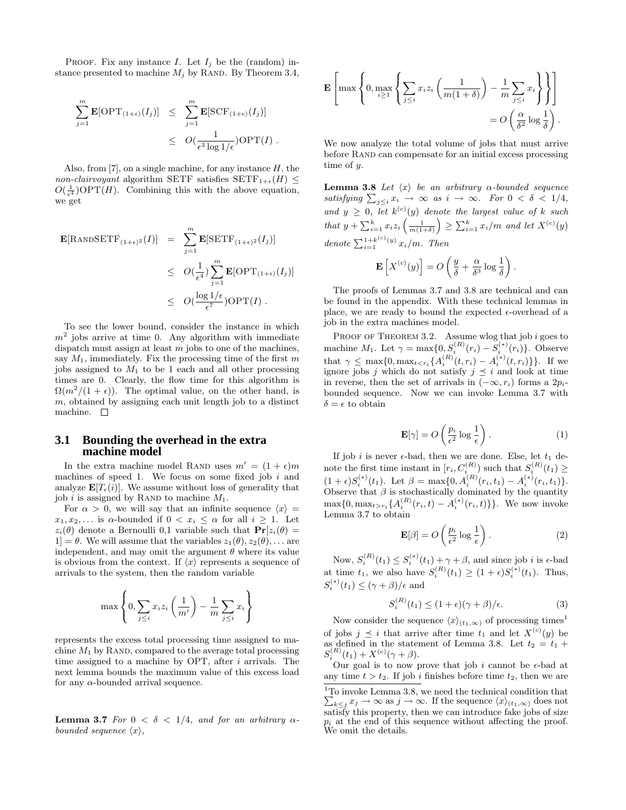PROOF. Fix any instance I. Let  $I_j$  be the (random) instance presented to machine  $M_j$  by RAND. By Theorem 3.4,

$$
\sum_{j=1}^{m} \mathbf{E}[\text{OPT}_{(1+\epsilon)}(I_j)] \leq \sum_{j=1}^{m} \mathbf{E}[\text{SCF}_{(1+\epsilon)}(I_j)]
$$
  

$$
\leq O(\frac{1}{\epsilon^3 \log 1/\epsilon}) \text{OPT}(I) .
$$

Also, from [7], on a single machine, for any instance  $H$ , the non-clairvoyant algorithm SETF satisfies  $SETF_{1+\epsilon}(H) \leq$  $O(\frac{1}{\epsilon^4})\text{OPT}(H)$ . Combining this with the above equation, we get

$$
\begin{aligned} \mathbf{E}[\text{RANDSETF}_{(1+\epsilon)^2}(I)] &= \sum_{j=1}^m \mathbf{E}[\text{SETF}_{(1+\epsilon)^2}(I_j)] \\ &\leq O(\frac{1}{\epsilon^4}) \sum_{j=1}^m \mathbf{E}[\text{OPT}_{(1+\epsilon)}(I_j)] \\ &\leq O(\frac{\log 1/\epsilon}{\epsilon^7}) \text{OPT}(I) \ . \end{aligned}
$$

To see the lower bound, consider the instance in which  $m<sup>2</sup>$  jobs arrive at time 0. Any algorithm with immediate dispatch must assign at least  $m$  jobs to one of the machines, say  $M_1$ , immediately. Fix the processing time of the first m jobs assigned to  $M_1$  to be 1 each and all other processing times are 0. Clearly, the flow time for this algorithm is  $\Omega(m^2/(1+\epsilon))$ . The optimal value, on the other hand, is  $m$ , obtained by assigning each unit length job to a distinct machine.  $\square$ 

#### **3.1 Bounding the overhead in the extra machine model**

In the extra machine model RAND uses  $m' = (1 + \epsilon)m$ machines of speed 1. We focus on some fixed job  $i$  and analyze  $\mathbf{E}[T_{\epsilon}(i)]$ . We assume without loss of generality that job i is assigned by RAND to machine  $M_1$ .

For  $\alpha > 0$ , we will say that an infinite sequence  $\langle x \rangle =$  $x_1, x_2,...$  is  $\alpha$ -bounded if  $0 < x_i \leq \alpha$  for all  $i \geq 1$ . Let  $z_i(\theta)$  denote a Bernoulli 0,1 variable such that  $\mathbf{Pr}[z_i(\theta)] =$  $1] = \theta$ . We will assume that the variables  $z_1(\theta), z_2(\theta), \ldots$  are independent, and may omit the argument  $\theta$  where its value is obvious from the context. If  $\langle x \rangle$  represents a sequence of arrivals to the system, then the random variable

$$
\max\left\{0, \sum_{j\leq i} x_i z_i \left(\frac{1}{m'}\right) - \frac{1}{m} \sum_{j\leq i} x_i\right\}
$$

represents the excess total processing time assigned to machine  $M_1$  by RAND, compared to the average total processing time assigned to a machine by OPT, after i arrivals. The next lemma bounds the maximum value of this excess load for any  $\alpha$ -bounded arrival sequence.

**Lemma 3.7** For  $0 < \delta < 1/4$ , and for an arbitrary  $\alpha$ bounded sequence  $\langle x \rangle$ ,

$$
\mathbf{E}\left[\max\left\{0, \max_{i\geq 1}\left\{\sum_{j\leq i}x_iz_i\left(\frac{1}{m(1+\delta)}\right)-\frac{1}{m}\sum_{j\leq i}x_i\right\}\right\}\right]
$$
  
=  $O\left(\frac{\alpha}{\delta^2}\log\frac{1}{\delta}\right).$ 

We now analyze the total volume of jobs that must arrive before RAND can compensate for an initial excess processing time of y.

**Lemma 3.8** Let  $\langle x \rangle$  be an arbitrary  $\alpha$ -bounded sequence satisfying  $\sum_{j\leq i} x_i \rightarrow \infty$  as  $i \rightarrow \infty$ . For  $0 < \delta < 1/4$ , and  $y \geq 0$ , let  $k^{(c)}(y)$  denote the largest value of k such that  $y + \sum_{i=1}^{k} x_i z_i \left( \frac{1}{m(1+\delta)} \right)$  $\Big) \geq \sum_{i=1}^{k} x_i/m$  and let  $X^{(c)}(y)$ denote  $\sum_{i=1}^{1+k^{(c)}(y)} x_i/m$ . Then

$$
\mathbf{E}\left[X^{(c)}(y)\right] = O\left(\frac{y}{\delta} + \frac{\alpha}{\delta^3} \log \frac{1}{\delta}\right).
$$

The proofs of Lemmas 3.7 and 3.8 are technical and can be found in the appendix. With these technical lemmas in place, we are ready to bound the expected  $\epsilon$ -overhead of a job in the extra machines model.

PROOF OF THEOREM 3.2. Assume wlog that job  $i$  goes to machine  $M_1$ . Let  $\gamma = \max\{0, S_i^{(R)}(r_i) - S_i^{(*)}(r_i)\}$ . Observe that  $\gamma \leq \max\{0, \max_{t \leq r_i} \{A_i^{(R)}(t, r_i) - A_i^{(*)}(t, r_i)\}\}\.$  If we ignore jobs j which do not satisfy  $j \preceq i$  and look at time in reverse, then the set of arrivals in  $(-\infty, r_i)$  forms a  $2p_i$ bounded sequence. Now we can invoke Lemma 3.7 with  $\delta = \epsilon$  to obtain

$$
\mathbf{E}[\gamma] = O\left(\frac{p_i}{\epsilon^2} \log \frac{1}{\epsilon}\right). \tag{1}
$$

If job *i* is never  $\epsilon$ -bad, then we are done. Else, let  $t_1$  denote the first time instant in  $[r_i, C_i^{(R)}]$  such that  $S_i^{(R)}(t_1) \ge (1 + \epsilon)S_i^{(*)}(t_1)$ . Let  $\beta = \max\{0, A_i^{(R)}(r_i, t_1) - A_i^{(*)}(r_i, t_1)\}$ . Observe that  $\beta$  is sto  $\max\{0, \max_{t > r_i} \{A_i^{(R)}(r_i, t) - A_i^{(*)}(r_i, t)\}\}.$  We now invoke Lemma 3.7 to obtain

$$
\mathbf{E}[\beta] = O\left(\frac{p_i}{\epsilon^2} \log \frac{1}{\epsilon}\right). \tag{2}
$$

Now,  $S_i^{(R)}(t_1) \leq S_i^{(*)}(t_1) + \gamma + \beta$ , and since job *i* is  $\epsilon$ -bad at time  $t_1$ , we also have  $S_i^{(R)}(t_1) \geq (1+\epsilon)S_i^{(*)}(t_1)$ . Thus,  $S_i^{(*)}(t_1) \leq (\gamma + \beta)/\epsilon$  and

$$
S_i^{(R)}(t_1) \le (1+\epsilon)(\gamma+\beta)/\epsilon. \tag{3}
$$

Now consider the sequence  $\langle x \rangle_{(t_1,\infty)}$  of processing times<sup>1</sup> of jobs  $j \preceq i$  that arrive after time  $t_1$  and let  $X^{(c)}(y)$  be as defined in the statement of Lemma 3.8. Let  $t_2 = t_1 + S_i^{(R)}(t_1) + X^{(c)}(\gamma + \beta)$ .

Our goal is to now prove that job i cannot be  $\epsilon$ -bad at any time  $t > t_2$ . If job i finishes before time  $t_2$ , then we are

<sup>1</sup> To invoke Lemma 3.8, we need the technical condition that  $\sum_{k \leq j} x_j \to \infty$  as  $j \to \infty$ . If the sequence  $\langle x \rangle_{(t_1,\infty)}$  does not satisfy this property, then we can introduce fake jobs of size  $p_i$  at the end of this sequence without affecting the proof. We omit the details.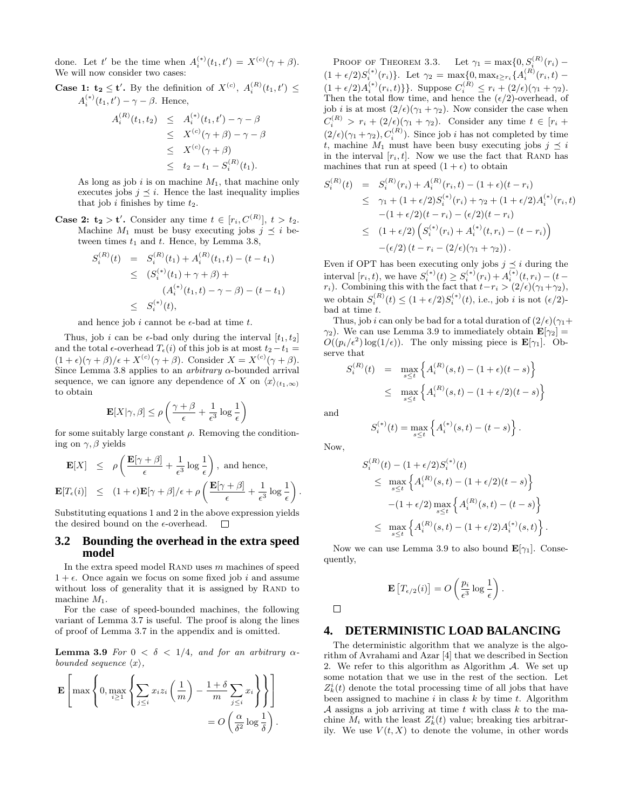done. Let t' be the time when  $A_i^{(*)}(t_1, t') = X^{(c)}(\gamma + \beta)$ . We will now consider two cases:

**Case 1:**  $t_2 \le t'$ **. By the definition of**  $X^{(c)}$ **,**  $A_i^{(R)}(t_1, t') \le$  $A_i^{(*)}(t_1, t') - \gamma - \beta$ . Hence,

$$
A_i^{(R)}(t_1, t_2) \leq A_i^{(*)}(t_1, t') - \gamma - \beta
$$
  
\n
$$
\leq X^{(c)}(\gamma + \beta) - \gamma - \beta
$$
  
\n
$$
\leq X^{(c)}(\gamma + \beta)
$$
  
\n
$$
\leq t_2 - t_1 - S_i^{(R)}(t_1).
$$

As long as job  $i$  is on machine  $M_1$ , that machine only executes jobs  $j \preceq i$ . Hence the last inequality implies that job  $i$  finishes by time  $t_2$ .

**Case 2:**  $t_2 > t'$ **. Consider any time**  $t \in [r_i, C^{(R)}], t > t_2$ **.** Machine  $M_1$  must be busy executing jobs  $j \preceq i$  between times  $t_1$  and  $t$ . Hence, by Lemma 3.8,

$$
S_i^{(R)}(t) = S_i^{(R)}(t_1) + A_i^{(R)}(t_1, t) - (t - t_1)
$$
  
\n
$$
\leq (S_i^{(*)}(t_1) + \gamma + \beta) +
$$
  
\n
$$
(A_i^{(*)}(t_1, t) - \gamma - \beta) - (t - t_1)
$$
  
\n
$$
\leq S_i^{(*)}(t),
$$

and hence job i cannot be  $\epsilon$ -bad at time t.

Thus, job i can be  $\epsilon$ -bad only during the interval  $[t_1, t_2]$ and the total  $\epsilon$ -overhead  $T_{\epsilon}(i)$  of this job is at most  $t_2 - t_1 =$  $(1+\epsilon)(\gamma+\beta)/\epsilon + X^{(c)}(\gamma+\beta)$ . Consider  $X = X^{(c)}(\gamma+\beta)$ . Since Lemma 3.8 applies to an *arbitrary*  $\alpha$ -bounded arrival sequence, we can ignore any dependence of X on  $\langle x \rangle_{(t_1,\infty)}$ to obtain

$$
\mathbf{E}[X|\gamma,\beta] \leq \rho \left( \frac{\gamma+\beta}{\epsilon} + \frac{1}{\epsilon^3} \log \frac{1}{\epsilon} \right)
$$

for some suitably large constant  $\rho$ . Removing the conditioning on  $\gamma$ ,  $\beta$  yields

$$
\mathbf{E}[X] \leq \rho \left( \frac{\mathbf{E}[\gamma + \beta]}{\epsilon} + \frac{1}{\epsilon^3} \log \frac{1}{\epsilon} \right), \text{ and hence,}
$$
  

$$
\mathbf{E}[T_{\epsilon}(i)] \leq (1 + \epsilon) \mathbf{E}[\gamma + \beta] / \epsilon + \rho \left( \frac{\mathbf{E}[\gamma + \beta]}{\epsilon} + \frac{1}{\epsilon^3} \log \frac{1}{\epsilon} \right).
$$

Substituting equations 1 and 2 in the above expression yields the desired bound on the  $\epsilon$ -overhead. 口

#### **3.2 Bounding the overhead in the extra speed model**

In the extra speed model RAND uses  $m$  machines of speed  $1 + \epsilon$ . Once again we focus on some fixed job i and assume without loss of generality that it is assigned by RAND to machine  $M_1$ .

For the case of speed-bounded machines, the following variant of Lemma 3.7 is useful. The proof is along the lines of proof of Lemma 3.7 in the appendix and is omitted.

**Lemma 3.9** For  $0 < \delta < 1/4$ , and for an arbitrary  $\alpha$ bounded sequence  $\langle x \rangle$ ,

$$
\mathbf{E}\left[\max\left\{0, \max_{i\geq 1}\left\{\sum_{j\leq i}x_iz_i\left(\frac{1}{m}\right)-\frac{1+\delta}{m}\sum_{j\leq i}x_i\right\}\right\}\right]
$$

$$
=O\left(\frac{\alpha}{\delta^2}\log\frac{1}{\delta}\right).
$$

PROOF OF THEOREM 3.3. Let  $\gamma_1 = \max\{0, S_i^{(R)}(r_i) (1 + \epsilon/2)S_i^{(*)}(r_i)$ . Let  $\gamma_2 = \max\{0, \max_{t \ge r_i} \{A_i^{(R)}(r_i, t) - \}$  $(1+\epsilon/2)A_i^{(*)}(r_i,t)$ . Suppose  $C_i^{(R)} \leq r_i + (2/\epsilon)(\gamma_1 + \gamma_2)$ .<br>Then the total flow time, and bases the  $(\epsilon/2)$  supposed of Then the total flow time, and hence the  $(\epsilon/2)$ -overhead, of job *i* is at most  $\left(2/\epsilon\right)\left(\gamma_1 + \gamma_2\right)$ . Now consider the case when  $C_i^{(R)} > r_i + (2/\epsilon)(\gamma_1 + \gamma_2)$ . Consider any time  $t \in [r_i +$  $(2/\epsilon)(\gamma_1 + \gamma_2), C_i^{(R)}$ . Since job *i* has not completed by time t, machine  $M_1$  must have been busy executing jobs  $j \preceq i$ in the interval  $[r_i, t]$ . Now we use the fact that RAND has machines that run at speed  $(1 + \epsilon)$  to obtain

$$
S_i^{(R)}(t) = S_i^{(R)}(r_i) + A_i^{(R)}(r_i, t) - (1 + \epsilon)(t - r_i)
$$
  
\n
$$
\leq \gamma_1 + (1 + \epsilon/2)S_i^{(*)}(r_i) + \gamma_2 + (1 + \epsilon/2)A_i^{(*)}(r_i, t)
$$
  
\n
$$
-(1 + \epsilon/2)(t - r_i) - (\epsilon/2)(t - r_i)
$$
  
\n
$$
\leq (1 + \epsilon/2) \left( S_i^{(*)}(r_i) + A_i^{(*)}(t, r_i) - (t - r_i) \right)
$$
  
\n
$$
-(\epsilon/2) (t - r_i - (2/\epsilon)(\gamma_1 + \gamma_2)).
$$

Even if OPT has been executing only jobs  $j \preceq i$  during the interval  $[r_i, t)$ , we have  $S_i^{(*)}(t) \geq S_i^{(*)}(r_i) + A_i^{(*)}(t, r_i) - (t$ r<sub>i</sub>). Combining this with the fact that  $t-r_i > (2/\epsilon)(\gamma_1+\gamma_2)$ , we obtain  $S_i^{(R)}(t) \le (1 + \epsilon/2) S_i^{(*)}(t)$ , i.e., job *i* is not  $(\epsilon/2)$ bad at time  $t$ .

Thus, job i can only be bad for a total duration of  $\left(2/\epsilon\right)\left(\gamma_1+\gamma_2\right)$  $\gamma_2$ ). We can use Lemma 3.9 to immediately obtain  $\mathbf{E}[\gamma_2] = O((n/2) \log(1/\epsilon))$ . The only missing piece is  $\mathbf{E}[\gamma_2]$ .  $O((p_i/\epsilon^2) \log(1/\epsilon))$ . The only missing piece is  $\mathbf{E}[\gamma_1]$ . Observe that

$$
S_i^{(R)}(t) = \max_{s \le t} \left\{ A_i^{(R)}(s, t) - (1 + \epsilon)(t - s) \right\}
$$
  
 
$$
\le \max_{s \le t} \left\{ A_i^{(R)}(s, t) - (1 + \epsilon/2)(t - s) \right\}
$$

and

$$
S_i^{(*)}(t) = \max_{s \le t} \left\{ A_i^{(*)}(s, t) - (t - s) \right\}.
$$

Now,

$$
S_i^{(R)}(t) - (1 + \epsilon/2)S_i^{(*)}(t)
$$
  
\n
$$
\leq \max_{s \leq t} \left\{ A_i^{(R)}(s, t) - (1 + \epsilon/2)(t - s) \right\}
$$
  
\n
$$
- (1 + \epsilon/2) \max_{s \leq t} \left\{ A_i^{(R)}(s, t) - (t - s) \right\}
$$
  
\n
$$
\leq \max_{s \leq t} \left\{ A_i^{(R)}(s, t) - (1 + \epsilon/2)A_i^{(*)}(s, t) \right\}.
$$

Now we can use Lemma 3.9 to also bound  $\mathbf{E}[\gamma_1]$ . Consequently,

$$
\mathbf{E}\left[T_{\epsilon/2}(i)\right] = O\left(\frac{p_i}{\epsilon^3} \log \frac{1}{\epsilon}\right).
$$

 $\Box$ 

# **4. DETERMINISTIC LOAD BALANCING**

The deterministic algorithm that we analyze is the algorithm of Avrahami and Azar [4] that we described in Section 2. We refer to this algorithm as Algorithm A. We set up some notation that we use in the rest of the section. Let  $\mathcal{Z}_{k}^{i}(t)$  denote the total processing time of all jobs that have been assigned to machine i in class  $k$  by time  $t$ . Algorithm A assigns a job arriving at time  $t$  with class  $k$  to the machine  $\overline{M}_i$  with the least  $Z_k^i(t)$  value; breaking ties arbitrarily. We use  $V(t, X)$  to denote the volume, in other words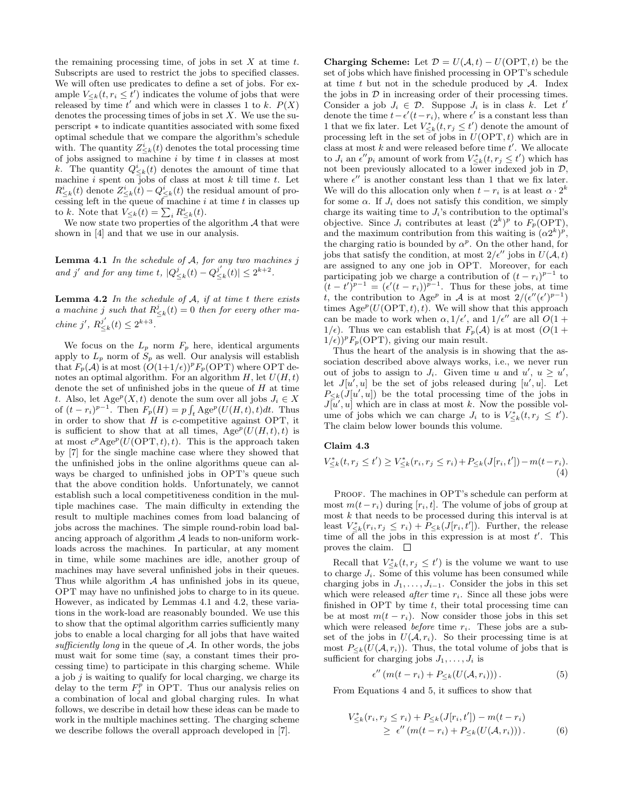the remaining processing time, of jobs in set  $X$  at time  $t$ . Subscripts are used to restrict the jobs to specified classes. We will often use predicates to define a set of jobs. For example  $V_{\leq k}(t, r_i \leq t')$  indicates the volume of jobs that were released by time  $t'$  and which were in classes 1 to k.  $P(X)$ denotes the processing times of jobs in set  $X$ . We use the superscript ∗ to indicate quantities associated with some fixed optimal schedule that we compare the algorithm's schedule with. The quantity  $Z_{\leq k}^i(t)$  denotes the total processing time of jobs assigned to machine  $i$  by time  $t$  in classes at most k. The quantity  $Q_{\leq k}^i(t)$  denotes the amount of time that machine  $i$  spent on jobs of class at most  $k$  till time  $t$ . Let  $R_{\leq k}^i(t)$  denote  $Z_{\leq k}^i(t) - Q_{\leq k}^i(t)$  the residual amount of processing left in the queue of machine  $i$  at time  $t$  in classes up to k. Note that  $V_{\leq k}(t) = \sum_i R^i_{\leq k}(t)$ .

We now state two properties of the algorithm  $A$  that were shown in [4] and that we use in our analysis.

Lemma 4.1 In the schedule of A, for any two machines j and j' and for any time t,  $|Q_{\leq k}^j(t) - Q_{\leq k}^{j'}(t)| \leq 2^{k+2}$ .

**Lemma 4.2** In the schedule of  $A$ , if at time t there exists a machine j such that  $R_{\leq k}^j(t) = 0$  then for every other machine j',  $R_{\leq k}^{j'}(t) \leq 2^{k+3}$ .

We focus on the  $L_p$  norm  $F_p$  here, identical arguments apply to  $L_p$  norm of  $S_p$  as well. Our analysis will establish that  $F_p(\mathcal{A})$  is at most  $(O(1+1/\epsilon))^p F_p(\text{OPT})$  where OPT denotes an optimal algorithm. For an algorithm  $H$ , let  $U(H, t)$ denote the set of unfinished jobs in the queue of  $H$  at time t. Also, let Age<sup>p</sup> $(X, t)$  denote the sum over all jobs  $J_i \in X$ of  $(t - r_i)^{p-1}$ . Then  $F_p(H) = p \int_t \text{Age}^p(U(H, t), t) dt$ . Thus in order to show that  $H$  is c-competitive against OPT, it is sufficient to show that at all times,  $Age^p(U(H, t), t)$  is at most  $c^p \text{Age}^p(U(\text{OPT}, t), t)$ . This is the approach taken by [7] for the single machine case where they showed that the unfinished jobs in the online algorithms queue can always be charged to unfinished jobs in OPT's queue such that the above condition holds. Unfortunately, we cannot establish such a local competitiveness condition in the multiple machines case. The main difficulty in extending the result to multiple machines comes from load balancing of jobs across the machines. The simple round-robin load balancing approach of algorithm  $A$  leads to non-uniform workloads across the machines. In particular, at any moment in time, while some machines are idle, another group of machines may have several unfinished jobs in their queues. Thus while algorithm  $A$  has unfinished jobs in its queue, OPT may have no unfinished jobs to charge to in its queue. However, as indicated by Lemmas 4.1 and 4.2, these variations in the work-load are reasonably bounded. We use this to show that the optimal algorithm carries sufficiently many jobs to enable a local charging for all jobs that have waited sufficiently long in the queue of  $A$ . In other words, the jobs must wait for some time (say, a constant times their processing time) to participate in this charging scheme. While a job  $j$  is waiting to qualify for local charging, we charge its delay to the term  $F_j^p$  in OPT. Thus our analysis relies on a combination of local and global charging rules. In what follows, we describe in detail how these ideas can be made to work in the multiple machines setting. The charging scheme we describe follows the overall approach developed in [7].

**Charging Scheme:** Let  $\mathcal{D} = U(\mathcal{A}, t) - U(\text{OPT}, t)$  be the set of jobs which have finished processing in OPT's schedule at time  $t$  but not in the schedule produced by  $A$ . Index the jobs in  $D$  in increasing order of their processing times. Consider a job  $J_i \in \mathcal{D}$ . Suppose  $J_i$  is in class k. Let t' denote the time  $t - \epsilon'(t - r_i)$ , where  $\epsilon'$  is a constant less than 1 that we fix later. Let  $V^*_{\leq k}(t, r_j \leq t')$  denote the amount of processing left in the set of jobs in  $U(\text{OPT}, t)$  which are in class at most  $k$  and were released before time  $t'$ . We allocate to  $J_i$  an  $\epsilon'' p_i$  amount of work from  $V^*_{\leq k}(t, r_j \leq t')$  which has not been previously allocated to a lower indexed job in  $\mathcal{D},$ where  $\epsilon''$  is another constant less than 1 that we fix later. We will do this allocation only when  $t - r_i$  is at least  $\alpha \cdot 2^k$ for some  $\alpha$ . If  $J_i$  does not satisfy this condition, we simply charge its waiting time to  $J_i$ 's contribution to the optimal's objective. Since  $J_i$  contributes at least  $(2^k)^p$  to  $F_p(OPT)$ , and the maximum contribution from this waiting is  $(\alpha 2^k)^p$ , the charging ratio is bounded by  $\alpha^p$ . On the other hand, for jobs that satisfy the condition, at most  $2/\epsilon''$  jobs in  $U(\mathcal{A}, t)$ are assigned to any one job in OPT. Moreover, for each participating job we charge a contribution of  $(t - r_i)^{p-1}$  to  $(t-t')^{p-1} = (\epsilon'(t-r_i))^{p-1}$ . Thus for these jobs, at time t, the contribution to Age<sup>p</sup> in A is at most  $2/(\epsilon''(\epsilon')^{p-1})$ times  $Age^p(U(OPT, t), t)$ . We will show that this approach can be made to work when  $\alpha$ ,  $1/\epsilon'$ , and  $1/\epsilon''$  are all  $O(1 + \epsilon'')$  $1/\epsilon$ ). Thus we can establish that  $F_p(\mathcal{A})$  is at most  $(O(1 +$  $1/\epsilon$ )<sup>p</sup>F<sub>p</sub>(OPT), giving our main result.

Thus the heart of the analysis is in showing that the association described above always works, i.e., we never run out of jobs to assign to  $J_i$ . Given time u and  $u'$ ,  $u \ge u'$ , let  $J[u',u]$  be the set of jobs released during  $[u',u]$ . Let  $P_{\leq k}(J[u',u])$  be the total processing time of the jobs in  $J\bar{u}', u]$  which are in class at most k. Now the possible volume of jobs which we can charge  $J_i$  to is  $V_{\leq k}^*(t, r_j \leq t')$ . The claim below lower bounds this volume.

#### **Claim 4.3**

$$
V_{\leq k}^*(t, r_j \leq t') \geq V_{\leq k}^*(r_i, r_j \leq r_i) + P_{\leq k}(J[r_i, t']) - m(t - r_i).
$$
\n(4)

PROOF. The machines in OPT's schedule can perform at most  $m(t-r_i)$  during  $[r_i, t]$ . The volume of jobs of group at most k that needs to be processed during this interval is at least  $V_{\leq k}^*(r_i, r_j \leq r_i) + P_{\leq k}(J[r_i, t'])$ . Further, the release time of all the jobs in this expression is at most  $t'$ . This proves the claim.  $\square$ 

Recall that  $V^*_{\leq k}(t, r_j \leq t')$  is the volume we want to use to charge  $J_i$ . Some of this volume has been consumed while charging jobs in  $J_1, \ldots, J_{i-1}$ . Consider the jobs in this set which were released *after* time  $r_i$ . Since all these jobs were finished in OPT by time  $t$ , their total processing time can be at most  $m(t - r_i)$ . Now consider those jobs in this set which were released *before* time  $r_i$ . These jobs are a subset of the jobs in  $U(\mathcal{A}, r_i)$ . So their processing time is at most  $P_{\leq k}(U(\mathcal{A}, r_i))$ . Thus, the total volume of jobs that is sufficient for charging jobs  $J_1, \ldots, J_i$  is

$$
\epsilon''\left(m(t-r_i)+P_{\leq k}(U(\mathcal{A},r_i))\right). \tag{5}
$$

From Equations 4 and 5, it suffices to show that

$$
V_{\leq k}^*(r_i, r_j \leq r_i) + P_{\leq k}(J[r_i, t']) - m(t - r_i)
$$
  
 
$$
\geq \epsilon''(m(t - r_i) + P_{\leq k}(U(\mathcal{A}, r_i))).
$$
 (6)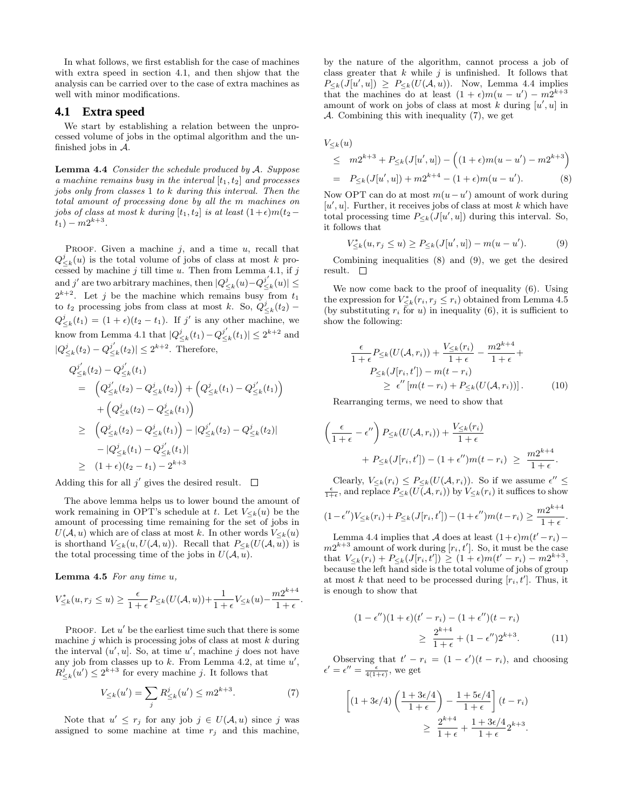In what follows, we first establish for the case of machines with extra speed in section 4.1, and then shjow that the analysis can be carried over to the case of extra machines as well with minor modifications.

#### **4.1 Extra speed**

We start by establishing a relation between the unprocessed volume of jobs in the optimal algorithm and the unfinished jobs in  $A$ .

**Lemma 4.4** Consider the schedule produced by A. Suppose a machine remains busy in the interval  $[t_1, t_2]$  and processes jobs only from classes 1 to k during this interval. Then the total amount of processing done by all the m machines on jobs of class at most k during  $[t_1, t_2]$  is at least  $(1+\epsilon)m(t_2 (t_1) - m2^{k+3}$ .

PROOF. Given a machine  $j$ , and a time  $u$ , recall that  $Q_{\leq k}^{j}(u)$  is the total volume of jobs of class at most k processed by machine  $j$  till time  $u$ . Then from Lemma 4.1, if  $j$ and j' are two arbitrary machines, then  $|Q_{\leq k}^j(u)-Q_{\leq k}^{j'}(u)|\leq$  $2^{k+2}$ . Let j be the machine which remains busy from  $t_1$ to  $t_2$  processing jobs from class at most k. So,  $Q_{\leq k}^j(t_2)$  –  $Q_{\leq k}^{j}(t_1) = (1 + \epsilon)(t_2 - t_1)$ . If j' is any other machine, we know from Lemma 4.1 that  $|Q_{\leq k}^{j}(t_1)-Q_{\leq k}^{j'}(t_1)| \leq 2^{k+2}$  and  $|Q_{\leq k}^{j}(t_2)-Q_{\leq k}^{j'}(t_2)|\leq 2^{k+2}$ . Therefore,

$$
Q_{\leq k}^{j'}(t_2) - Q_{\leq k}^{j'}(t_1)
$$
  
=  $(Q_{\leq k}^{j'}(t_2) - Q_{\leq k}^{j}(t_2)) + (Q_{\leq k}^{j'}(t_1) - Q_{\leq k}^{j'}(t_1))$   
+  $(Q_{\leq k}^{j}(t_2) - Q_{\leq k}^{j}(t_1))$   
 $\geq (Q_{\leq k}^{j'}(t_2) - Q_{\leq k}^{j'}(t_1)) - |Q_{\leq k}^{j'}(t_2) - Q_{\leq k}^{j}(t_2)|$   
-  $|Q_{\leq k}^{j'}(t_1) - Q_{\leq k}^{j'}(t_1)|$   
 $\geq (1 + \epsilon)(t_2 - t_1) - 2^{k+3}$ 

Adding this for all  $j'$  gives the desired result.  $\Box$ 

The above lemma helps us to lower bound the amount of work remaining in OPT's schedule at t. Let  $V_{\leq k}(u)$  be the amount of processing time remaining for the set of jobs in  $U(\mathcal{A}, u)$  which are of class at most k. In other words  $V_{\leq k}(u)$ is shorthand  $V_{\leq k}(u, U(\mathcal{A}, u))$ . Recall that  $P_{\leq k}(U(\mathcal{A}, u))$  is the total processing time of the jobs in  $U(\mathcal{A}, u)$ .

**Lemma 4.5** For any time u,

$$
V_{\leq k}^*(u, r_j \leq u) \geq \frac{\epsilon}{1+\epsilon} P_{\leq k}(U(\mathcal{A}, u)) + \frac{1}{1+\epsilon} V_{\leq k}(u) - \frac{m2^{k+4}}{1+\epsilon}.
$$

PROOF. Let  $u'$  be the earliest time such that there is some machine  $j$  which is processing jobs of class at most  $k$  during the interval  $(u', u]$ . So, at time u', machine j does not have any job from classes up to  $k$ . From Lemma 4.2, at time  $u'$ ,  $R_{\leq k}^{j}(u') \leq 2^{k+3}$  for every machine j. It follows that

$$
V_{\leq k}(u') = \sum_{j} R_{\leq k}^{j}(u') \leq m 2^{k+3}.
$$
 (7)

Note that  $u' \leq r_j$  for any job  $j \in U(\mathcal{A}, u)$  since j was assigned to some machine at time  $r_j$  and this machine,

by the nature of the algorithm, cannot process a job of class greater that  $k$  while  $j$  is unfinished. It follows that  $P_{\leq k}(J[u',u]) \geq P_{\leq k}(U(\mathcal{A},u)).$  Now, Lemma 4.4 implies that the machines do at least  $(1 + \epsilon)m(u - u') - m\hat{2}^{k+3}$ amount of work on jobs of class at most  $k$  during  $[u', u]$  in  $\mathcal A$ . Combining this with inequality (7), we get

$$
V_{\leq k}(u)
$$
  
\n
$$
\leq m2^{k+3} + P_{\leq k}(J[u', u]) - ((1 + \epsilon)m(u - u') - m2^{k+3})
$$
  
\n
$$
= P_{\leq k}(J[u', u]) + m2^{k+4} - (1 + \epsilon)m(u - u').
$$
 (8)

Now OPT can do at most  $m(u - u')$  amount of work during  $[u', u]$ . Further, it receives jobs of class at most k which have total processing time  $P_{\leq k}(J[u',u])$  during this interval. So, it follows that

$$
V_{\leq k}^{*}(u, r_{j} \leq u) \geq P_{\leq k}(J[u', u]) - m(u - u'). \tag{9}
$$

Combining inequalities (8) and (9), we get the desired result.  $\square$ 

We now come back to the proof of inequality (6). Using the expression for  $V_{\leq k}^*(r_i, r_j \leq r_i)$  obtained from Lemma 4.5 (by substituting  $r_i$  for  $u$ ) in inequality (6), it is sufficient to show the following:

$$
\frac{\epsilon}{1+\epsilon}P_{\leq k}(U(\mathcal{A}, r_i)) + \frac{V_{\leq k}(r_i)}{1+\epsilon} - \frac{m2^{k+4}}{1+\epsilon} +
$$
  
\n
$$
P_{\leq k}(J[r_i, t']) - m(t - r_i)
$$
  
\n
$$
\geq \epsilon''[m(t - r_i) + P_{\leq k}(U(\mathcal{A}, r_i))].
$$
 (10)

Rearranging terms, we need to show that

$$
\left(\frac{\epsilon}{1+\epsilon} - \epsilon''\right) P_{\leq k}(U(\mathcal{A}, r_i)) + \frac{V_{\leq k}(r_i)}{1+\epsilon} + P_{\leq k}(J[r_i, t']) - (1+\epsilon'')m(t-r_i) \geq \frac{m2^{k+4}}{1+\epsilon}.
$$

Clearly,  $V_{\leq k}(r_i) \leq P_{\leq k}(U(\mathcal{A}, r_i))$ . So if we assume  $\epsilon'' \leq \frac{\epsilon}{1+\epsilon}$ , and replace  $P_{\leq k}(U(\mathcal{A}, r_i))$  by  $V_{\leq k}(r_i)$  it suffices to show

$$
(1 - \epsilon'')V_{\leq k}(r_i) + P_{\leq k}(J[r_i, t']) - (1 + \epsilon'')m(t - r_i) \geq \frac{m2^{k+4}}{1 + \epsilon}.
$$

Lemma 4.4 implies that A does at least  $(1+\epsilon)m(t'-r_i)$  –  $m2^{k+3}$  amount of work during  $[r_i, t']$ . So, it must be the case that  $V_{\leq k}(r_i) + P_{\leq k}(J[r_i, t']) \geq (1 + \epsilon)m(t' - r_i) - m2^{k+3},$ because the left hand side is the total volume of jobs of group at most k that need to be processed during  $[r_i, t']$ . Thus, it is enough to show that

$$
(1 - \epsilon'')(1 + \epsilon)(t' - r_i) - (1 + \epsilon'')(t - r_i)
$$
  
\n
$$
\geq \frac{2^{k+4}}{1 + \epsilon} + (1 - \epsilon'')2^{k+3}.
$$
 (11)

Observing that  $t' - r_i = (1 - \epsilon')(t - r_i)$ , and choosing  $\epsilon' = \epsilon'' = \frac{\epsilon}{4(1+\epsilon)}$ , we get

$$
\left[ (1+3\epsilon/4) \left( \frac{1+3\epsilon/4}{1+\epsilon} \right) - \frac{1+5\epsilon/4}{1+\epsilon} \right] (t-r_i)
$$
  

$$
\geq \frac{2^{k+4}}{1+\epsilon} + \frac{1+3\epsilon/4}{1+\epsilon} 2^{k+3}.
$$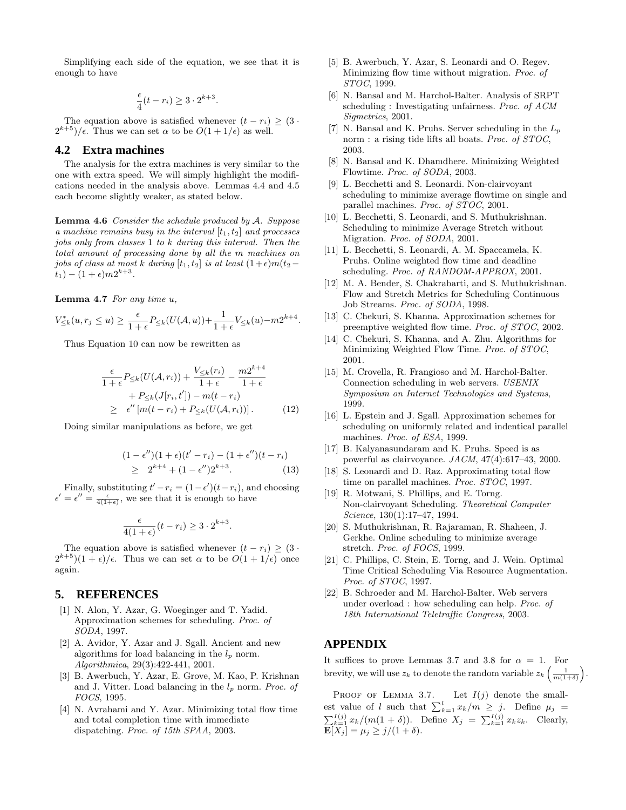Simplifying each side of the equation, we see that it is enough to have

$$
\frac{\epsilon}{4}(t-r_i) \ge 3 \cdot 2^{k+3}.
$$

The equation above is satisfied whenever  $(t - r_i) \geq (3 \cdot$  $2^{k+5}$ / $\epsilon$ . Thus we can set  $\alpha$  to be  $O(1 + 1/\epsilon)$  as well.

# **4.2 Extra machines**

The analysis for the extra machines is very similar to the one with extra speed. We will simply highlight the modifications needed in the analysis above. Lemmas 4.4 and 4.5 each become slightly weaker, as stated below.

**Lemma 4.6** Consider the schedule produced by A. Suppose a machine remains busy in the interval  $[t_1, t_2]$  and processes jobs only from classes 1 to k during this interval. Then the total amount of processing done by all the m machines on jobs of class at most k during  $[t_1, t_2]$  is at least  $(1+\epsilon)m(t_2$  $t_1) - (1 + \epsilon) m 2^{k+3}.$ 

**Lemma 4.7** For any time u,

$$
V_{\leq k}^*(u, r_j \leq u) \geq \frac{\epsilon}{1+\epsilon} P_{\leq k}(U(\mathcal{A}, u)) + \frac{1}{1+\epsilon} V_{\leq k}(u) - m2^{k+4}.
$$

Thus Equation 10 can now be rewritten as

$$
\frac{\epsilon}{1+\epsilon}P_{\leq k}(U(\mathcal{A}, r_i)) + \frac{V_{\leq k}(r_i)}{1+\epsilon} - \frac{m2^{k+4}}{1+\epsilon} + P_{\leq k}(J[r_i, t']) - m(t - r_i)
$$
\n
$$
\geq \epsilon''[m(t - r_i) + P_{\leq k}(U(\mathcal{A}, r_i))]. \tag{12}
$$

Doing similar manipulations as before, we get

$$
(1 - \epsilon'')(1 + \epsilon)(t' - r_i) - (1 + \epsilon'')(t - r_i)
$$
  
\n
$$
\geq 2^{k+4} + (1 - \epsilon'')2^{k+3}.
$$
 (13)

Finally, substituting  $t'-r_i = (1 - \epsilon')(t - r_i)$ , and choosing  $\epsilon' = \epsilon'' = \frac{\epsilon}{4(1+\epsilon)}$ , we see that it is enough to have

$$
\frac{\epsilon}{4(1+\epsilon)}(t-r_i) \ge 3 \cdot 2^{k+3}.
$$

The equation above is satisfied whenever  $(t - r_i) \geq (3 \cdot$  $2^{k+5}(1+\epsilon)/\epsilon$ . Thus we can set  $\alpha$  to be  $O(1+1/\epsilon)$  once again.

#### **5. REFERENCES**

- [1] N. Alon, Y. Azar, G. Woeginger and T. Yadid. Approximation schemes for scheduling. Proc. of SODA, 1997.
- [2] A. Avidor, Y. Azar and J. Sgall. Ancient and new algorithms for load balancing in the  $l_p$  norm. Algorithmica, 29(3):422-441, 2001.
- [3] B. Awerbuch, Y. Azar, E. Grove, M. Kao, P. Krishnan and J. Vitter. Load balancing in the  $l_p$  norm. Proc. of FOCS, 1995.
- [4] N. Avrahami and Y. Azar. Minimizing total flow time and total completion time with immediate dispatching. Proc. of 15th SPAA, 2003.
- [5] B. Awerbuch, Y. Azar, S. Leonardi and O. Regev. Minimizing flow time without migration. Proc. of STOC, 1999.
- [6] N. Bansal and M. Harchol-Balter. Analysis of SRPT scheduling : Investigating unfairness. Proc. of ACM Sigmetrics, 2001.
- [7] N. Bansal and K. Pruhs. Server scheduling in the  $L_p$ norm : a rising tide lifts all boats. Proc. of STOC, 2003.
- [8] N. Bansal and K. Dhamdhere. Minimizing Weighted Flowtime. Proc. of SODA, 2003.
- [9] L. Becchetti and S. Leonardi. Non-clairvoyant scheduling to minimize average flowtime on single and parallel machines. Proc. of STOC, 2001.
- [10] L. Becchetti, S. Leonardi, and S. Muthukrishnan. Scheduling to minimize Average Stretch without Migration. Proc. of SODA, 2001.
- [11] L. Becchetti, S. Leonardi, A. M. Spaccamela, K. Pruhs. Online weighted flow time and deadline scheduling. Proc. of RANDOM-APPROX, 2001.
- [12] M. A. Bender, S. Chakrabarti, and S. Muthukrishnan. Flow and Stretch Metrics for Scheduling Continuous Job Streams. Proc. of SODA, 1998.
- [13] C. Chekuri, S. Khanna. Approximation schemes for preemptive weighted flow time. Proc. of STOC, 2002.
- [14] C. Chekuri, S. Khanna, and A. Zhu. Algorithms for Minimizing Weighted Flow Time. Proc. of STOC, 2001.
- [15] M. Crovella, R. Frangioso and M. Harchol-Balter. Connection scheduling in web servers. USENIX Symposium on Internet Technologies and Systems, 1999.
- [16] L. Epstein and J. Sgall. Approximation schemes for scheduling on uniformly related and indentical parallel machines. Proc. of ESA, 1999.
- [17] B. Kalyanasundaram and K. Pruhs. Speed is as powerful as clairvoyance. JACM, 47(4):617–43, 2000.
- [18] S. Leonardi and D. Raz. Approximating total flow time on parallel machines. Proc. STOC, 1997.
- [19] R. Motwani, S. Phillips, and E. Torng. Non-clairvoyant Scheduling. Theoretical Computer Science, 130(1):17–47, 1994.
- [20] S. Muthukrishnan, R. Rajaraman, R. Shaheen, J. Gerkhe. Online scheduling to minimize average stretch. Proc. of FOCS, 1999.
- [21] C. Phillips, C. Stein, E. Torng, and J. Wein. Optimal Time Critical Scheduling Via Resource Augmentation. Proc. of STOC, 1997.
- [22] B. Schroeder and M. Harchol-Balter. Web servers under overload : how scheduling can help. Proc. of 18th International Teletraffic Congress, 2003.

## **APPENDIX**

It suffices to prove Lemmas 3.7 and 3.8 for  $\alpha = 1$ . For brevity, we will use  $z_k$  to denote the random variable  $z_k\left(\frac{1}{m(1+\delta)}\right)$ .

PROOF OF LEMMA 3.7. Let  $I(j)$  denote the smallest value of l such that  $\sum_{k=1}^{l} x_k/m \geq j$ . Define  $\mu_j = \sum_{k=1}^{I(j)} x_k/(m(1+\delta))$ . Define  $X_j = \sum_{k=1}^{I(j)} x_k z_k$ . Clearly,  $\mathbf{E}[X_j] = \mu_j \geq j/(1+\delta)$ .